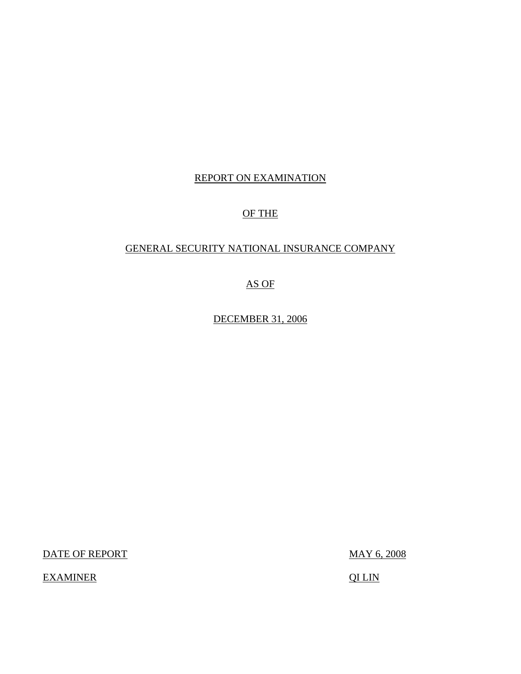## REPORT ON EXAMINATION

## OF THE

### GENERAL SECURITY NATIONAL INSURANCE COMPANY

## AS OF

DECEMBER 31, 2006

DATE OF REPORT

EXAMINER QILIN

MAY 6, 2008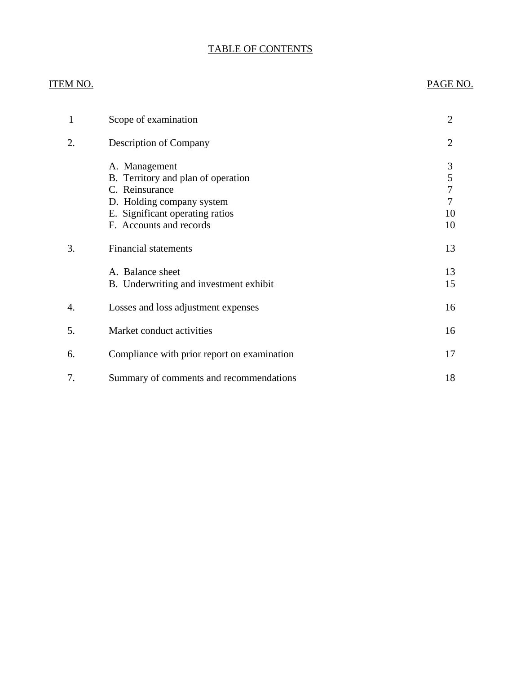## TABLE OF CONTENTS

### **ITEM NO.**

### PAGE NO.

| 1  | Scope of examination                                                                                                                                             | $\overline{2}$               |
|----|------------------------------------------------------------------------------------------------------------------------------------------------------------------|------------------------------|
| 2. | <b>Description of Company</b>                                                                                                                                    | $\overline{2}$               |
|    | A. Management<br>B. Territory and plan of operation<br>C. Reinsurance<br>D. Holding company system<br>E. Significant operating ratios<br>F. Accounts and records | 3<br>5<br>7<br>7<br>10<br>10 |
| 3. | <b>Financial statements</b>                                                                                                                                      | 13                           |
|    | A. Balance sheet<br>B. Underwriting and investment exhibit                                                                                                       | 13<br>15                     |
| 4. | Losses and loss adjustment expenses                                                                                                                              | 16                           |
| 5. | Market conduct activities                                                                                                                                        | 16                           |
| 6. | Compliance with prior report on examination                                                                                                                      | 17                           |
| 7. | Summary of comments and recommendations                                                                                                                          | 18                           |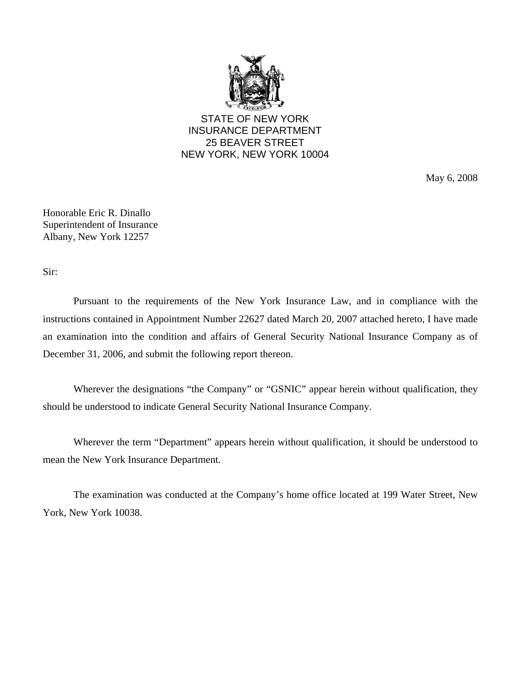

STATE OF NEW YORK INSURANCE DEPARTMENT 25 BEAVER STREET NEW YORK, NEW YORK 10004

May 6, 2008

Honorable Eric R. Dinallo Superintendent of Insurance Albany, New York 12257

Sir:

Pursuant to the requirements of the New York Insurance Law, and in compliance with the instructions contained in Appointment Number 22627 dated March 20, 2007 attached hereto, I have made an examination into the condition and affairs of General Security National Insurance Company as of December 31, 2006, and submit the following report thereon.

Wherever the designations "the Company" or "GSNIC" appear herein without qualification, they should be understood to indicate General Security National Insurance Company.

Wherever the term "Department" appears herein without qualification, it should be understood to mean the New York Insurance Department.

The examination was conducted at the Company's home office located at 199 Water Street, New York, New York 10038.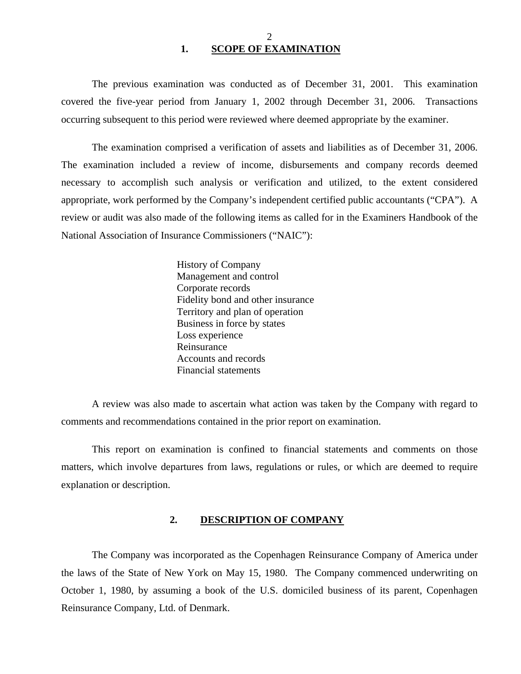<span id="page-3-0"></span>The previous examination was conducted as of December 31, 2001. This examination covered the five-year period from January 1, 2002 through December 31, 2006. Transactions occurring subsequent to this period were reviewed where deemed appropriate by the examiner.

The examination comprised a verification of assets and liabilities as of December 31, 2006. The examination included a review of income, disbursements and company records deemed necessary to accomplish such analysis or verification and utilized, to the extent considered appropriate, work performed by the Company's independent certified public accountants ("CPA"). A review or audit was also made of the following items as called for in the Examiners Handbook of the National Association of Insurance Commissioners ("NAIC"):

> History of Company Management and control Corporate records Fidelity bond and other insurance Territory and plan of operation Business in force by states Loss experience Reinsurance Accounts and records Financial statements

A review was also made to ascertain what action was taken by the Company with regard to comments and recommendations contained in the prior report on examination.

This report on examination is confined to financial statements and comments on those matters, which involve departures from laws, regulations or rules, or which are deemed to require explanation or description.

#### **2. DESCRIPTION OF COMPANY**

The Company was incorporated as the Copenhagen Reinsurance Company of America under the laws of the State of New York on May 15, 1980. The Company commenced underwriting on October 1, 1980, by assuming a book of the U.S. domiciled business of its parent, Copenhagen Reinsurance Company, Ltd. of Denmark.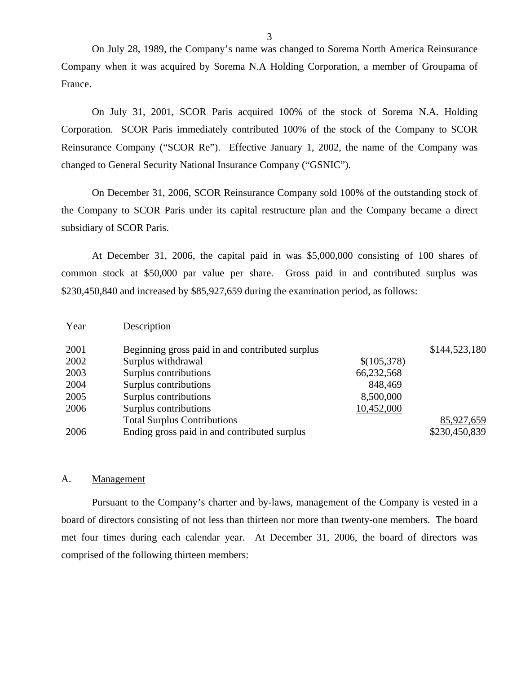On July 28, 1989, the Company's name was changed to Sorema North America Reinsurance Company when it was acquired by Sorema N.A Holding Corporation, a member of Groupama of France.

On July 31, 2001, SCOR Paris acquired 100% of the stock of Sorema N.A. Holding Corporation. SCOR Paris immediately contributed 100% of the stock of the Company to SCOR Reinsurance Company ("SCOR Re"). Effective January 1, 2002, the name of the Company was changed to General Security National Insurance Company ("GSNIC").

On December 31, 2006, SCOR Reinsurance Company sold 100% of the outstanding stock of the Company to SCOR Paris under its capital restructure plan and the Company became a direct subsidiary of SCOR Paris.

At December 31, 2006, the capital paid in was \$5,000,000 consisting of 100 shares of common stock at \$50,000 par value per share. Gross paid in and contributed surplus was \$230,450,840 and increased by \$85,927,659 during the examination period, as follows:

| Year | Description                                     |             |               |
|------|-------------------------------------------------|-------------|---------------|
| 2001 | Beginning gross paid in and contributed surplus |             | \$144,523,180 |
| 2002 | Surplus withdrawal                              | \$(105,378) |               |
| 2003 | Surplus contributions                           | 66,232,568  |               |
| 2004 | Surplus contributions                           | 848,469     |               |
| 2005 | Surplus contributions                           | 8,500,000   |               |
| 2006 | Surplus contributions                           | 10,452,000  |               |
|      | <b>Total Surplus Contributions</b>              |             | 85,927,659    |
| 2006 | Ending gross paid in and contributed surplus    |             | \$230,450,839 |

#### A. Management

Pursuant to the Company's charter and by-laws, management of the Company is vested in a board of directors consisting of not less than thirteen nor more than twenty-one members. The board met four times during each calendar year. At December 31, 2006, the board of directors was comprised of the following thirteen members: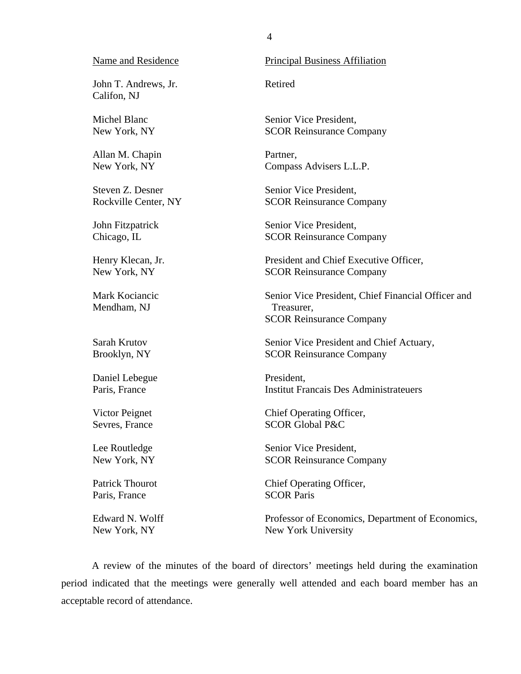John T. Andrews, Jr. Retired Califon, NJ

Allan M. Chapin Partner,

Mendham, NJ Treasurer,

Daniel Lebegue President,

Paris, France SCOR Paris

#### Name and Residence Principal Business Affiliation

Michel Blanc Senior Vice President, New York, NY SCOR Reinsurance Company

New York, NY Compass Advisers L.L.P.

Steven Z. Desner Senior Vice President, Rockville Center, NY SCOR Reinsurance Company

John Fitzpatrick Senior Vice President, Chicago, IL SCOR Reinsurance Company

Henry Klecan, Jr. President and Chief Executive Officer, New York, NY SCOR Reinsurance Company

Mark Kociancic Senior Vice President, Chief Financial Officer and SCOR Reinsurance Company

Sarah Krutov Senior Vice President and Chief Actuary, Brooklyn, NY SCOR Reinsurance Company

Paris, France Institut Francais Des Administrateuers

Victor Peignet Chief Operating Officer, Sevres, France SCOR Global P&C

Lee Routledge Senior Vice President, New York, NY SCOR Reinsurance Company

Patrick Thourot Chief Operating Officer,

Edward N. Wolff Professor of Economics, Department of Economics, New York, NY New York University

A review of the minutes of the board of directors' meetings held during the examination period indicated that the meetings were generally well attended and each board member has an acceptable record of attendance.

4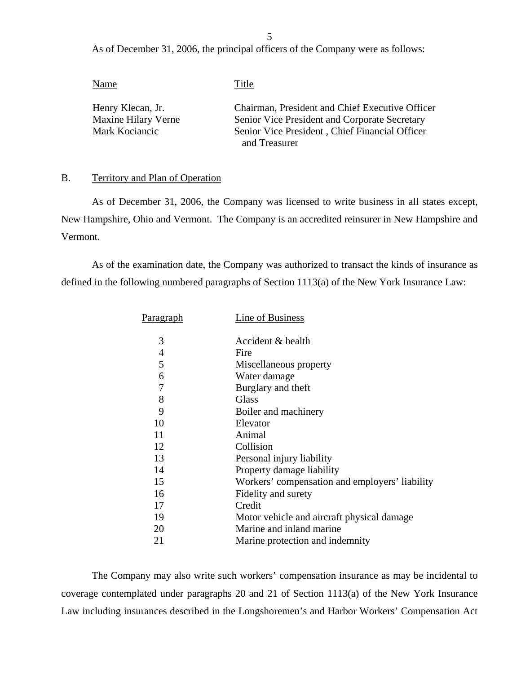5

As of December 31, 2006, the principal officers of the Company were as follows:

| Name                | Title                                           |
|---------------------|-------------------------------------------------|
| Henry Klecan, Jr.   | Chairman, President and Chief Executive Officer |
| Maxine Hilary Verne | Senior Vice President and Corporate Secretary   |
| Mark Kociancic      | Senior Vice President, Chief Financial Officer  |
|                     | and Treasurer                                   |

#### B. Territory and Plan of Operation

As of December 31, 2006, the Company was licensed to write business in all states except, New Hampshire, Ohio and Vermont. The Company is an accredited reinsurer in New Hampshire and Vermont.

As of the examination date, the Company was authorized to transact the kinds of insurance as defined in the following numbered paragraphs of Section 1113(a) of the New York Insurance Law:

| Paragraph | Line of Business                               |
|-----------|------------------------------------------------|
|           |                                                |
| 3         | Accident & health                              |
| 4         | Fire                                           |
| 5         | Miscellaneous property                         |
| 6         | Water damage                                   |
| 7         | Burglary and theft                             |
| 8         | Glass                                          |
| 9         | Boiler and machinery                           |
| 10        | Elevator                                       |
| 11        | Animal                                         |
| 12        | Collision                                      |
| 13        | Personal injury liability                      |
| 14        | Property damage liability                      |
| 15        | Workers' compensation and employers' liability |
| 16        | Fidelity and surety                            |
| 17        | Credit                                         |
| 19        | Motor vehicle and aircraft physical damage     |
| 20        | Marine and inland marine                       |
| 21        | Marine protection and indemnity                |

The Company may also write such workers' compensation insurance as may be incidental to coverage contemplated under paragraphs 20 and 21 of Section 1113(a) of the New York Insurance Law including insurances described in the Longshoremen's and Harbor Workers' Compensation Act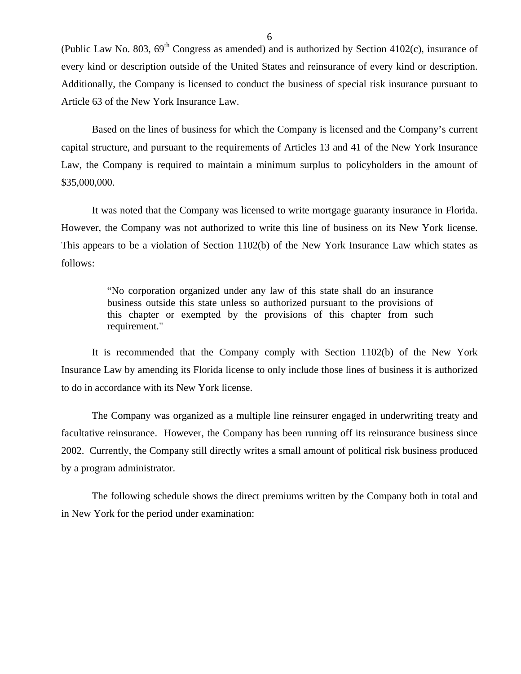(Public Law No. 803,  $69<sup>th</sup>$  Congress as amended) and is authorized by Section 4102(c), insurance of every kind or description outside of the United States and reinsurance of every kind or description. Additionally, the Company is licensed to conduct the business of special risk insurance pursuant to Article 63 of the New York Insurance Law.

Based on the lines of business for which the Company is licensed and the Company's current capital structure, and pursuant to the requirements of Articles 13 and 41 of the New York Insurance Law, the Company is required to maintain a minimum surplus to policyholders in the amount of \$35,000,000.

It was noted that the Company was licensed to write mortgage guaranty insurance in Florida. However, the Company was not authorized to write this line of business on its New York license. This appears to be a violation of Section 1102(b) of the New York Insurance Law which states as follows:

> "No corporation organized under any law of this state shall do an insurance business outside this state unless so authorized pursuant to the provisions of this chapter or exempted by the provisions of this chapter from such requirement."

It is recommended that the Company comply with Section 1102(b) of the New York Insurance Law by amending its Florida license to only include those lines of business it is authorized to do in accordance with its New York license.

The Company was organized as a multiple line reinsurer engaged in underwriting treaty and facultative reinsurance. However, the Company has been running off its reinsurance business since 2002. Currently, the Company still directly writes a small amount of political risk business produced by a program administrator.

The following schedule shows the direct premiums written by the Company both in total and in New York for the period under examination: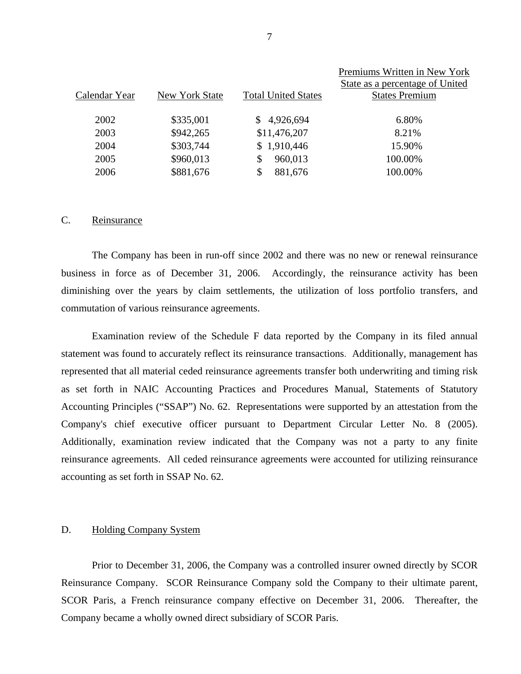|               |                |                            | Premiums Written in New York    |
|---------------|----------------|----------------------------|---------------------------------|
|               |                |                            | State as a percentage of United |
| Calendar Year | New York State | <b>Total United States</b> | <b>States Premium</b>           |
|               |                |                            |                                 |
| 2002          | \$335,001      | 4,926,694<br>S.            | 6.80%                           |
| 2003          | \$942,265      | \$11,476,207               | 8.21%                           |
| 2004          | \$303,744      | \$1,910,446                | 15.90%                          |
| 2005          | \$960,013      | 960,013<br>\$.             | 100.00%                         |
| 2006          | \$881,676      | 881,676<br>S               | 100.00%                         |
|               |                |                            |                                 |

#### C. Reinsurance

The Company has been in run-off since 2002 and there was no new or renewal reinsurance business in force as of December 31, 2006. Accordingly, the reinsurance activity has been diminishing over the years by claim settlements, the utilization of loss portfolio transfers, and commutation of various reinsurance agreements.

accounting as set forth in SSAP No. 62.<br>D. Holding Company System Examination review of the Schedule F data reported by the Company in its filed annual statement was found to accurately reflect its reinsurance transactions. Additionally, management has represented that all material ceded reinsurance agreements transfer both underwriting and timing risk as set forth in NAIC Accounting Practices and Procedures Manual, Statements of Statutory Accounting Principles ("SSAP") No. 62. Representations were supported by an attestation from the Company's chief executive officer pursuant to Department Circular Letter No. 8 (2005). Additionally, examination review indicated that the Company was not a party to any finite reinsurance agreements. All ceded reinsurance agreements were accounted for utilizing reinsurance

Prior to December 31, 2006, the Company was a controlled insurer owned directly by SCOR Reinsurance Company. SCOR Reinsurance Company sold the Company to their ultimate parent, SCOR Paris, a French reinsurance company effective on December 31, 2006. Thereafter, the Company became a wholly owned direct subsidiary of SCOR Paris.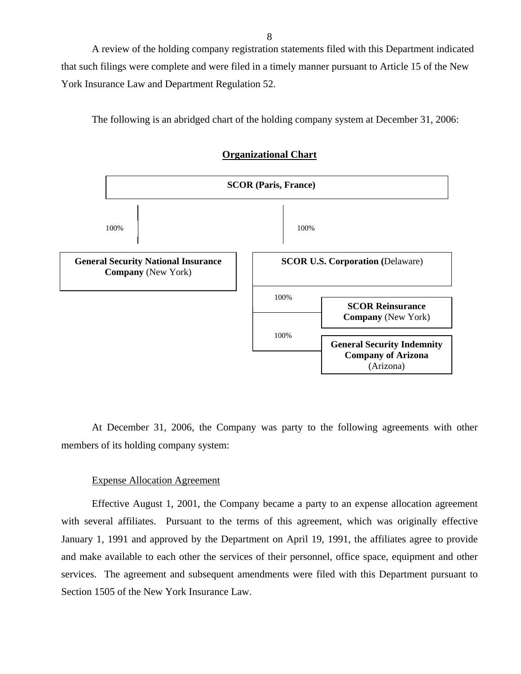A review of the holding company registration statements filed with this Department indicated that such filings were complete and were filed in a timely manner pursuant to Article 15 of the New York Insurance Law and Department Regulation 52.

The following is an abridged chart of the holding company system at December 31, 2006:



#### **Organizational Chart**

At December 31, 2006, the Company was party to the following agreements with other members of its holding company system:

#### Expense Allocation Agreement

Effective August 1, 2001, the Company became a party to an expense allocation agreement with several affiliates. Pursuant to the terms of this agreement, which was originally effective January 1, 1991 and approved by the Department on April 19, 1991, the affiliates agree to provide and make available to each other the services of their personnel, office space, equipment and other services. The agreement and subsequent amendments were filed with this Department pursuant to Section 1505 of the New York Insurance Law.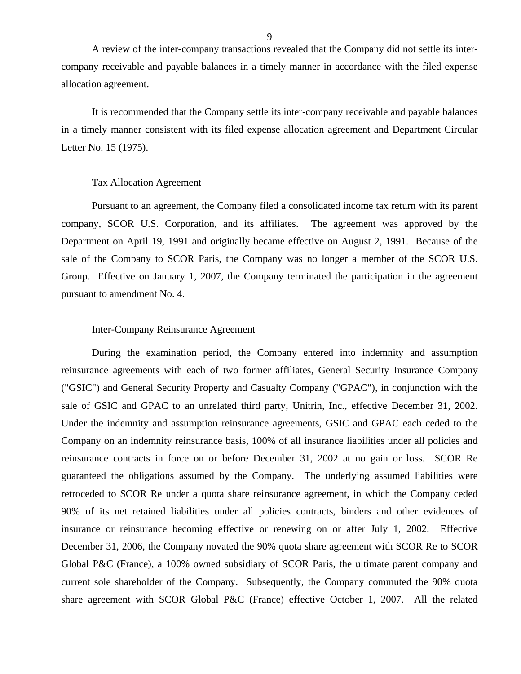A review of the inter-company transactions revealed that the Company did not settle its intercompany receivable and payable balances in a timely manner in accordance with the filed expense allocation agreement.

It is recommended that the Company settle its inter-company receivable and payable balances in a timely manner consistent with its filed expense allocation agreement and Department Circular Letter No. 15 (1975).

#### Tax Allocation Agreement

Pursuant to an agreement, the Company filed a consolidated income tax return with its parent company, SCOR U.S. Corporation, and its affiliates. The agreement was approved by the Department on April 19, 1991 and originally became effective on August 2, 1991. Because of the sale of the Company to SCOR Paris, the Company was no longer a member of the SCOR U.S. Group. Effective on January 1, 2007, the Company terminated the participation in the agreement pursuant to amendment No. 4.

#### Inter-Company Reinsurance Agreement

During the examination period, the Company entered into indemnity and assumption reinsurance agreements with each of two former affiliates, General Security Insurance Company ("GSIC") and General Security Property and Casualty Company ("GPAC"), in conjunction with the sale of GSIC and GPAC to an unrelated third party, Unitrin, Inc., effective December 31, 2002. Under the indemnity and assumption reinsurance agreements, GSIC and GPAC each ceded to the Company on an indemnity reinsurance basis, 100% of all insurance liabilities under all policies and reinsurance contracts in force on or before December 31, 2002 at no gain or loss. SCOR Re guaranteed the obligations assumed by the Company. The underlying assumed liabilities were retroceded to SCOR Re under a quota share reinsurance agreement, in which the Company ceded 90% of its net retained liabilities under all policies contracts, binders and other evidences of insurance or reinsurance becoming effective or renewing on or after July 1, 2002. Effective December 31, 2006, the Company novated the 90% quota share agreement with SCOR Re to SCOR Global P&C (France), a 100% owned subsidiary of SCOR Paris, the ultimate parent company and current sole shareholder of the Company. Subsequently, the Company commuted the 90% quota share agreement with SCOR Global P&C (France) effective October 1, 2007. All the related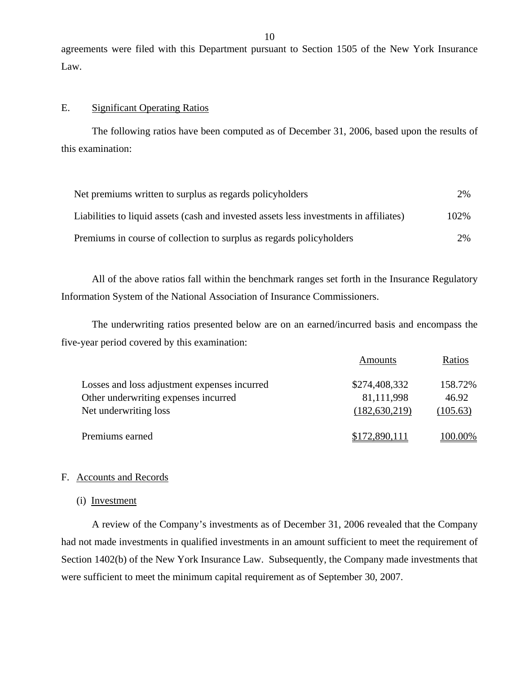agreements were filed with this Department pursuant to Section 1505 of the New York Insurance Law.

#### E. Significant Operating Ratios

The following ratios have been computed as of December 31, 2006, based upon the results of this examination:

| Net premiums written to surplus as regards policyholders                               | 2%   |
|----------------------------------------------------------------------------------------|------|
| Liabilities to liquid assets (cash and invested assets less investments in affiliates) | 102% |
| Premiums in course of collection to surplus as regards policyholders                   | 2%   |

All of the above ratios fall within the benchmark ranges set forth in the Insurance Regulatory Information System of the National Association of Insurance Commissioners.

The underwriting ratios presented below are on an earned/incurred basis and encompass the five-year period covered by this examination:

|                                              | Amounts         | Ratios   |
|----------------------------------------------|-----------------|----------|
| Losses and loss adjustment expenses incurred | \$274,408,332   | 158.72%  |
| Other underwriting expenses incurred         | 81,111,998      | 46.92    |
| Net underwriting loss                        | (182, 630, 219) | (105.63) |
| Premiums earned                              | \$172,890,111   | 100.00%  |

#### F. Accounts and Records

#### (i) Investment

A review of the Company's investments as of December 31, 2006 revealed that the Company had not made investments in qualified investments in an amount sufficient to meet the requirement of Section 1402(b) of the New York Insurance Law. Subsequently, the Company made investments that were sufficient to meet the minimum capital requirement as of September 30, 2007.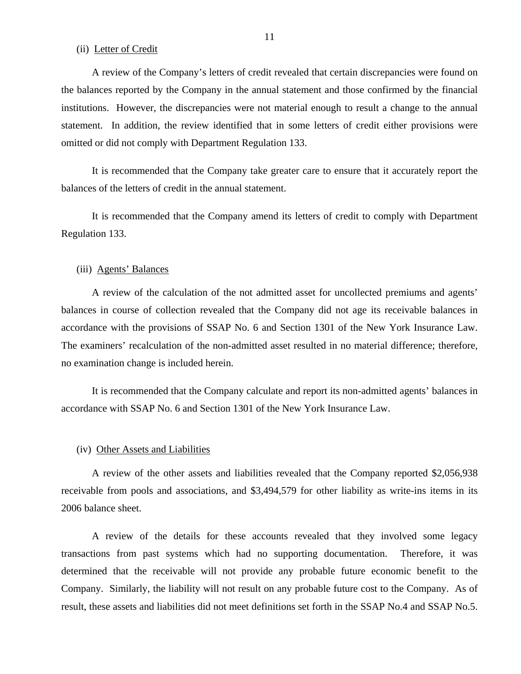(ii) Letter of Credit

A review of the Company's letters of credit revealed that certain discrepancies were found on the balances reported by the Company in the annual statement and those confirmed by the financial institutions. However, the discrepancies were not material enough to result a change to the annual statement. In addition, the review identified that in some letters of credit either provisions were omitted or did not comply with Department Regulation 133.

It is recommended that the Company take greater care to ensure that it accurately report the balances of the letters of credit in the annual statement.

It is recommended that the Company amend its letters of credit to comply with Department Regulation 133.

#### (iii) Agents' Balances

A review of the calculation of the not admitted asset for uncollected premiums and agents' balances in course of collection revealed that the Company did not age its receivable balances in accordance with the provisions of SSAP No. 6 and Section 1301 of the New York Insurance Law. The examiners' recalculation of the non-admitted asset resulted in no material difference; therefore, no examination change is included herein.

It is recommended that the Company calculate and report its non-admitted agents' balances in accordance with SSAP No. 6 and Section 1301 of the New York Insurance Law.

#### (iv) Other Assets and Liabilities

A review of the other assets and liabilities revealed that the Company reported \$2,056,938 receivable from pools and associations, and \$3,494,579 for other liability as write-ins items in its 2006 balance sheet.

A review of the details for these accounts revealed that they involved some legacy transactions from past systems which had no supporting documentation. Therefore, it was determined that the receivable will not provide any probable future economic benefit to the Company. Similarly, the liability will not result on any probable future cost to the Company. As of result, these assets and liabilities did not meet definitions set forth in the SSAP No.4 and SSAP No.5.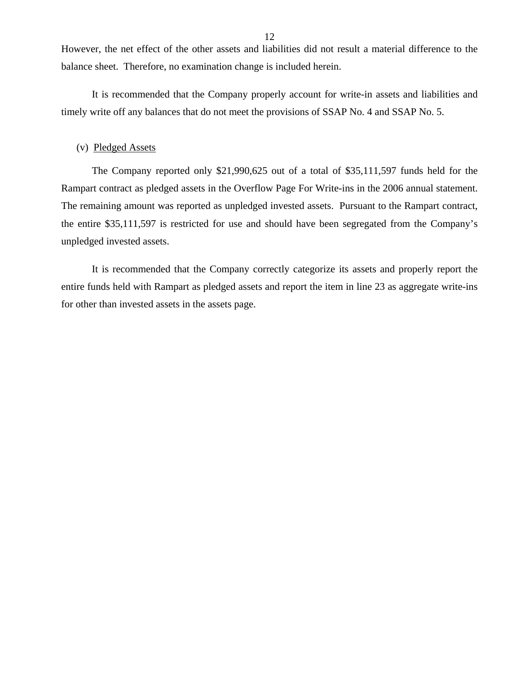However, the net effect of the other assets and liabilities did not result a material difference to the balance sheet. Therefore, no examination change is included herein.

It is recommended that the Company properly account for write-in assets and liabilities and timely write off any balances that do not meet the provisions of SSAP No. 4 and SSAP No. 5.

#### (v) Pledged Assets

The Company reported only \$21,990,625 out of a total of \$35,111,597 funds held for the Rampart contract as pledged assets in the Overflow Page For Write-ins in the 2006 annual statement. The remaining amount was reported as unpledged invested assets. Pursuant to the Rampart contract, the entire \$35,111,597 is restricted for use and should have been segregated from the Company's unpledged invested assets.

It is recommended that the Company correctly categorize its assets and properly report the entire funds held with Rampart as pledged assets and report the item in line 23 as aggregate write-ins for other than invested assets in the assets page.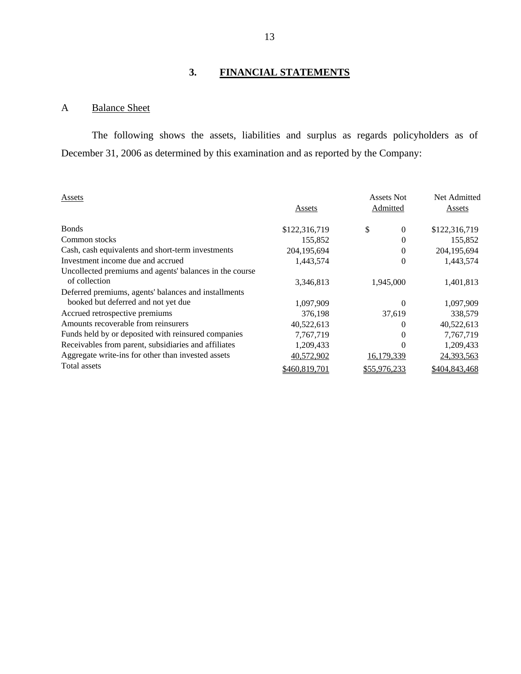# **3. FINANCIAL STATEMENTS**

## <span id="page-14-0"></span>A Balance Sheet

The following shows the assets, liabilities and surplus as regards policyholders as of December 31, 2006 as determined by this examination and as reported by the Company:

| <b>Assets</b>                                                            | Assets        | Assets Not<br>Admitted | Net Admitted<br>Assets |
|--------------------------------------------------------------------------|---------------|------------------------|------------------------|
| <b>Bonds</b>                                                             | \$122,316,719 | \$<br>$\Omega$         | \$122,316,719          |
| Common stocks                                                            | 155,852       | $\theta$               | 155,852                |
| Cash, cash equivalents and short-term investments                        | 204,195,694   | $\theta$               | 204, 195, 694          |
| Investment income due and accrued                                        | 1,443,574     | $\theta$               | 1,443,574              |
| Uncollected premiums and agents' balances in the course<br>of collection | 3,346,813     | 1,945,000              | 1,401,813              |
| Deferred premiums, agents' balances and installments                     |               |                        |                        |
| booked but deferred and not yet due                                      | 1,097,909     | $\theta$               | 1,097,909              |
| Accrued retrospective premiums                                           | 376,198       | 37.619                 | 338,579                |
| Amounts recoverable from reinsurers                                      | 40,522,613    | $\Omega$               | 40,522,613             |
| Funds held by or deposited with reinsured companies                      | 7,767,719     | $\Omega$               | 7,767,719              |
| Receivables from parent, subsidiaries and affiliates                     | 1,209,433     | $\theta$               | 1,209,433              |
| Aggregate write-ins for other than invested assets                       | 40,572,902    | 16,179,339             | 24,393,563             |
| Total assets                                                             | \$460,819,701 | \$55,976,233           | \$404,843,468          |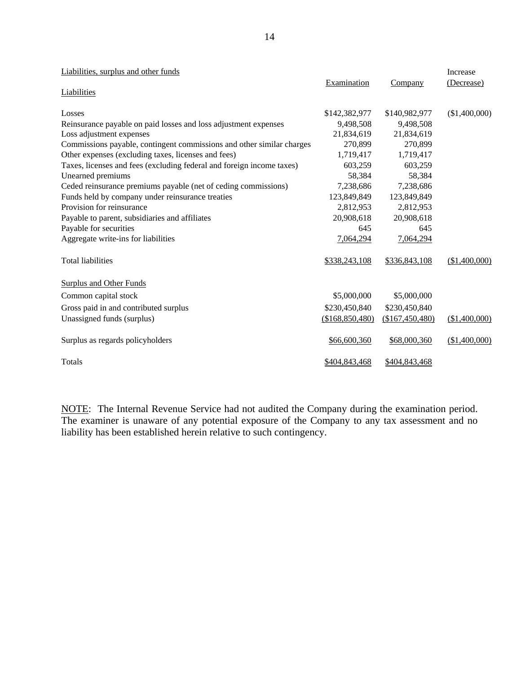| Liabilities, surplus and other funds                                  |                 |                 | Increase      |
|-----------------------------------------------------------------------|-----------------|-----------------|---------------|
|                                                                       | Examination     | Company         | (Decrease)    |
| <b>Liabilities</b>                                                    |                 |                 |               |
| Losses                                                                | \$142,382,977   | \$140,982,977   | (\$1,400,000) |
|                                                                       |                 |                 |               |
| Reinsurance payable on paid losses and loss adjustment expenses       | 9,498,508       | 9,498,508       |               |
| Loss adjustment expenses                                              | 21,834,619      | 21,834,619      |               |
| Commissions payable, contingent commissions and other similar charges | 270,899         | 270,899         |               |
| Other expenses (excluding taxes, licenses and fees)                   | 1,719,417       | 1,719,417       |               |
| Taxes, licenses and fees (excluding federal and foreign income taxes) | 603,259         | 603,259         |               |
| Unearned premiums                                                     | 58,384          | 58,384          |               |
| Ceded reinsurance premiums payable (net of ceding commissions)        | 7,238,686       | 7,238,686       |               |
| Funds held by company under reinsurance treaties                      | 123,849,849     | 123,849,849     |               |
| Provision for reinsurance                                             | 2,812,953       | 2,812,953       |               |
| Payable to parent, subsidiaries and affiliates                        | 20,908,618      | 20,908,618      |               |
| Payable for securities                                                | 645             | 645             |               |
| Aggregate write-ins for liabilities                                   | 7,064,294       | 7,064,294       |               |
|                                                                       |                 |                 |               |
| <b>Total liabilities</b>                                              | \$338,243,108   | \$336,843,108   | (\$1,400,000) |
|                                                                       |                 |                 |               |
| <b>Surplus and Other Funds</b>                                        |                 |                 |               |
| Common capital stock                                                  | \$5,000,000     | \$5,000,000     |               |
| Gross paid in and contributed surplus                                 | \$230,450,840   | \$230,450,840   |               |
| Unassigned funds (surplus)                                            | (\$168,850,480) | (\$167,450,480) | (\$1,400,000) |
|                                                                       |                 |                 |               |
| Surplus as regards policyholders                                      | \$66,600,360    | \$68,000,360    | (\$1,400,000) |
|                                                                       |                 |                 |               |
| Totals                                                                | \$404,843,468   | \$404,843,468   |               |

NOTE: The Internal Revenue Service had not audited the Company during the examination period. The examiner is unaware of any potential exposure of the Company to any tax assessment and no liability has been established herein relative to such contingency.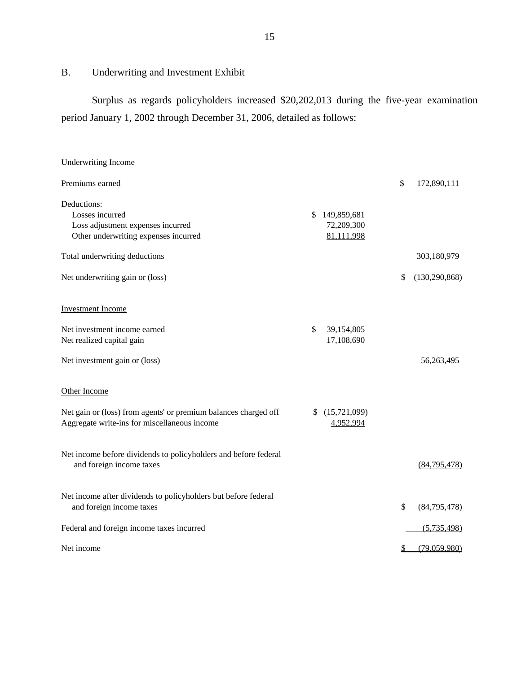B. Underwriting and Investment Exhibit

Surplus as regards policyholders increased \$20,202,013 during the five-year examination period January 1, 2002 through December 31, 2006, detailed as follows:

| <b>Underwriting Income</b>                                      |                  |                       |
|-----------------------------------------------------------------|------------------|-----------------------|
| Premiums earned                                                 |                  | \$<br>172,890,111     |
| Deductions:                                                     |                  |                       |
| Losses incurred                                                 | \$149,859,681    |                       |
| Loss adjustment expenses incurred                               | 72,209,300       |                       |
| Other underwriting expenses incurred                            | 81,111,998       |                       |
| Total underwriting deductions                                   |                  | 303,180,979           |
| Net underwriting gain or (loss)                                 |                  | \$<br>(130, 290, 868) |
| <b>Investment Income</b>                                        |                  |                       |
| Net investment income earned                                    | 39,154,805<br>\$ |                       |
| Net realized capital gain                                       | 17,108,690       |                       |
|                                                                 |                  |                       |
| Net investment gain or (loss)                                   |                  | 56,263,495            |
| Other Income                                                    |                  |                       |
| Net gain or (loss) from agents' or premium balances charged off | \$(15,721,099)   |                       |
| Aggregate write-ins for miscellaneous income                    | 4,952,994        |                       |
|                                                                 |                  |                       |
| Net income before dividends to policyholders and before federal |                  |                       |
| and foreign income taxes                                        |                  | (84,795,478)          |
|                                                                 |                  |                       |
| Net income after dividends to policyholders but before federal  |                  |                       |
| and foreign income taxes                                        |                  | \$<br>(84,795,478)    |
| Federal and foreign income taxes incurred                       |                  | (5,735,498)           |
| Net income                                                      |                  | \$<br>(79,059,980)    |
|                                                                 |                  |                       |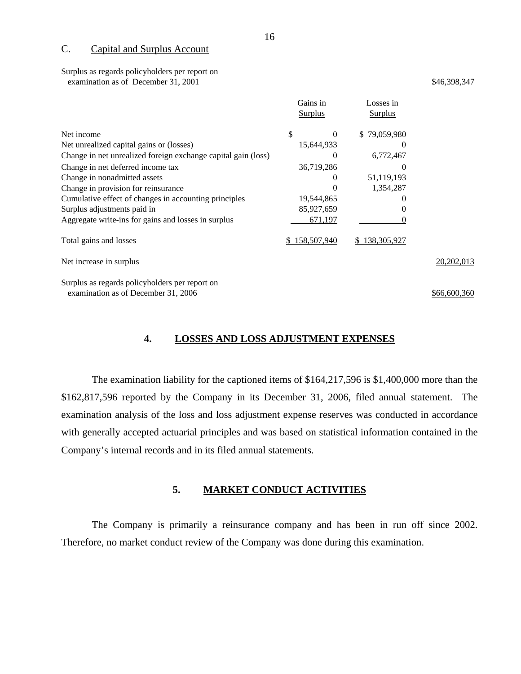#### C. Capital and Surplus Account

Surplus as regards policyholders per report on examination as of December 31, 2001  $\frac{1}{2}$  \$46,398,347

|                                                               | Gains in<br><b>Surplus</b> | Losses in<br><b>Surplus</b> |              |
|---------------------------------------------------------------|----------------------------|-----------------------------|--------------|
| Net income                                                    | \$<br>$\theta$             | \$79,059,980                |              |
| Net unrealized capital gains or (losses)                      | 15,644,933                 | $\theta$                    |              |
| Change in net unrealized foreign exchange capital gain (loss) | $\theta$                   | 6,772,467                   |              |
| Change in net deferred income tax                             | 36,719,286                 | $\theta$                    |              |
| Change in nonadmitted assets                                  | $\theta$                   | 51,119,193                  |              |
| Change in provision for reinsurance                           |                            | 1,354,287                   |              |
| Cumulative effect of changes in accounting principles         | 19,544,865                 |                             |              |
| Surplus adjustments paid in                                   | 85,927,659                 |                             |              |
| Aggregate write-ins for gains and losses in surplus           | 671,197                    |                             |              |
| Total gains and losses                                        | \$158,507,940              | 138,305,927<br>S.           |              |
| Net increase in surplus                                       |                            |                             | 20, 202, 013 |
|                                                               |                            |                             |              |

Surplus as regards policyholders per report on examination as of December 31, 2006 \$66,600,360

#### **4. LOSSES AND LOSS ADJUSTMENT EXPENSES**

The examination liability for the captioned items of \$164,217,596 is \$1,400,000 more than the \$162,817,596 reported by the Company in its December 31, 2006, filed annual statement. The examination analysis of the loss and loss adjustment expense reserves was conducted in accordance with generally accepted actuarial principles and was based on statistical information contained in the Company's internal records and in its filed annual statements.

#### **5. MARKET CONDUCT ACTIVITIES**

The Company is primarily a reinsurance company and has been in run off since 2002. Therefore, no market conduct review of the Company was done during this examination.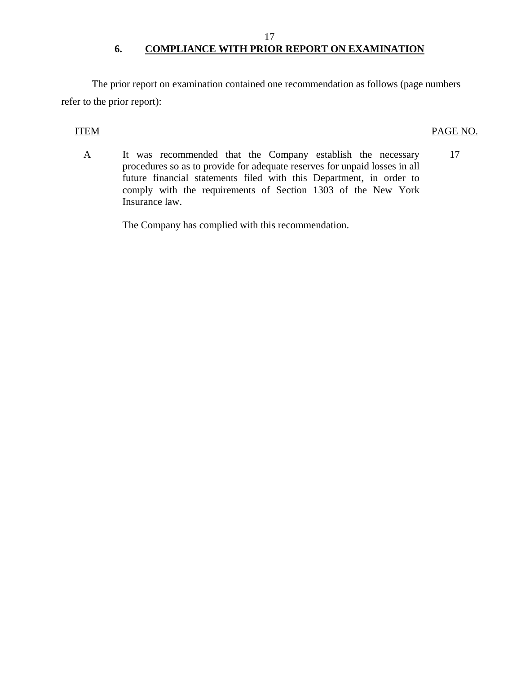## 17 **6. COMPLIANCE WITH PRIOR REPORT ON EXAMINATION**

The prior report on examination contained one recommendation as follows (page numbers refer to the prior report):

#### **ITEM**

### PAGE NO.

A It was recommended that the Company establish the necessary procedures so as to provide for adequate reserves for unpaid losses in all future financial statements filed with this Department, in order to comply with the requirements of Section 1303 of the New York Insurance law. 17

The Company has complied with this recommendation.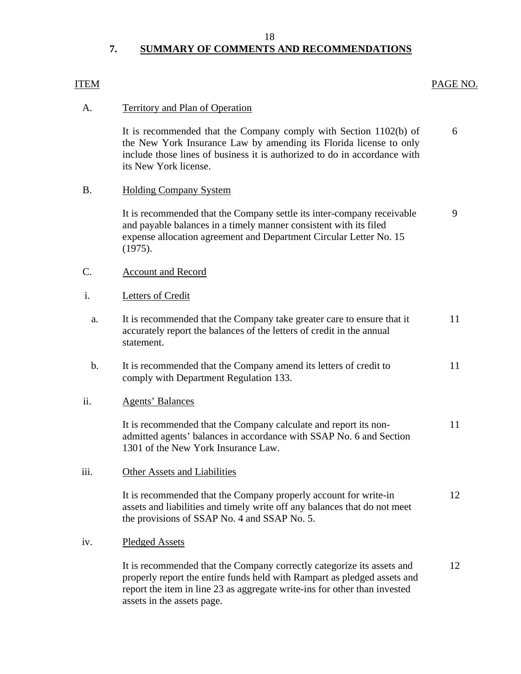18

## **7. SUMMARY OF COMMENTS AND RECOMMENDATIONS**

### ITEM

### PAGE NO.

12

#### **Territory and Plan of Operation** A.

It is recommended that the Company comply with Section  $1102(b)$  of the New York Insurance Law by amending its Florida license to only include those lines of business it is authorized to do in accordance with its New York license. 6

#### **Holding Company System** B.

It is recommended that the Company settle its inter-company receivable and payable balances in a timely manner consistent with its filed expense allocation agreement and Department Circular Letter No. 15 (1975). 9

# Account and Record<br>Letters of Credit C.

#### Letters of Credit i.

| a. | It is recommended that the Company take greater care to ensure that it<br>accurately report the balances of the letters of credit in the annual<br>statement. |  |
|----|---------------------------------------------------------------------------------------------------------------------------------------------------------------|--|
| b. | It is recommended that the Company amend its letters of credit to<br>comply with Department Regulation 133.                                                   |  |

#### **Agents' Balances** ii.

It is recommended that the Company calculate and report its nonadmitted agents' balances in accordance with SSAP No. 6 and Section 1301 of the New York Insurance Law. 11

#### iii. Other Assets and Liabilities

It is recommended that the Company properly account for write-in assets and liabilities and timely write off any balances that do not meet the provisions of SSAP No. 4 and SSAP No. 5. 12

#### iv. Pledged Assets

It is recommended that the Company correctly categorize its assets and properly report the entire funds held with Rampart as pledged assets and report the item in line 23 as aggregate write-ins for other than invested assets in the assets page.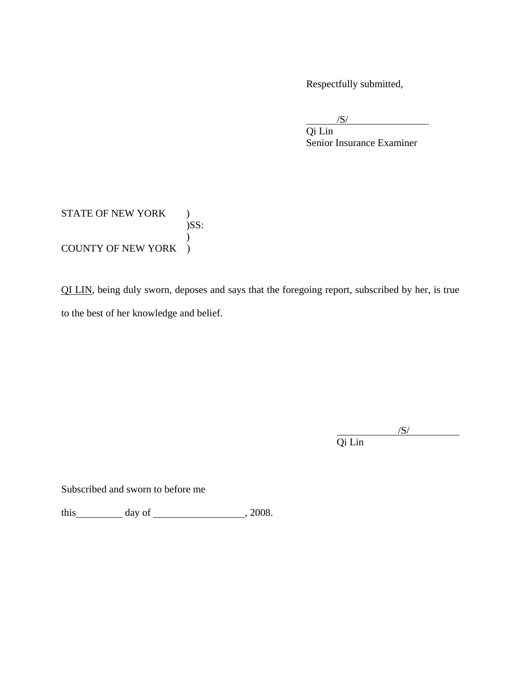Respectfully submitted,

 $\overline{\phantom{a}}$ /S/

 $\overline{a}$ 

 Senior Insurance Examiner Qi Lin

### STATE OF NEW YORK )  $)$ SS:  $\mathcal{L}$ COUNTY OF NEW YORK )

QI LIN, being duly sworn, deposes and says that the foregoing report, subscribed by her, is true to the best of her knowledge and belief.

 Qi Lin  $\overline{\phantom{a}}$  /S/

 $/S/$ 

Subscribed and sworn to before me

this  $\qquad \qquad \text{day of} \qquad \qquad .2008.$